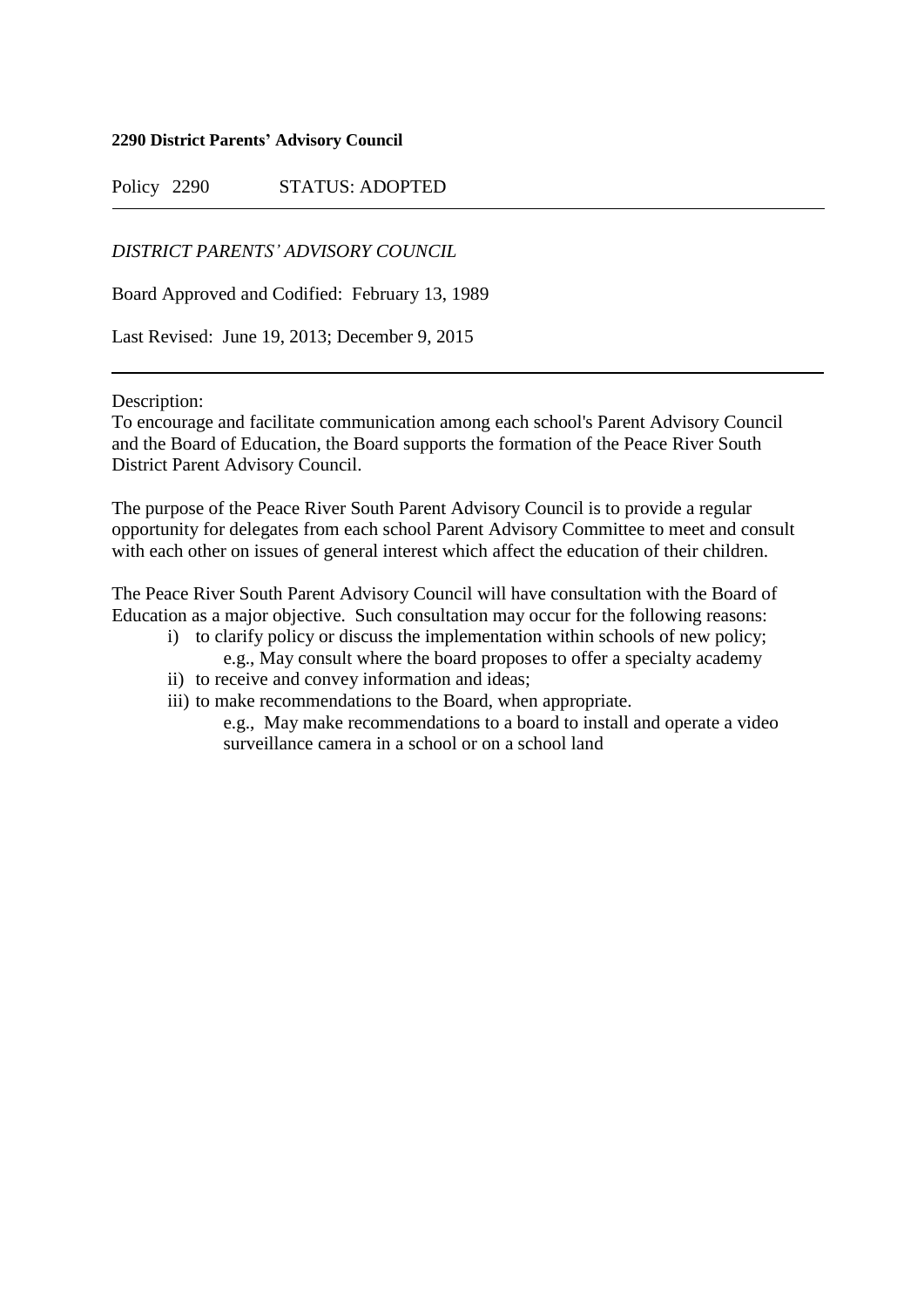#### **2290 District Parents' Advisory Council**

Policy 2290 STATUS: ADOPTED

# *DISTRICT PARENTS' ADVISORY COUNCIL*

Board Approved and Codified: February 13, 1989

Last Revised: June 19, 2013; December 9, 2015

Description:

To encourage and facilitate communication among each school's Parent Advisory Council and the Board of Education, the Board supports the formation of the Peace River South District Parent Advisory Council.

The purpose of the Peace River South Parent Advisory Council is to provide a regular opportunity for delegates from each school Parent Advisory Committee to meet and consult with each other on issues of general interest which affect the education of their children.

The Peace River South Parent Advisory Council will have consultation with the Board of Education as a major objective. Such consultation may occur for the following reasons:

- i) to clarify policy or discuss the implementation within schools of new policy; e.g., May consult where the board proposes to offer a specialty academy
- ii) to receive and convey information and ideas;
- iii) to make recommendations to the Board, when appropriate.

e.g., May make recommendations to a board to install and operate a video surveillance camera in a school or on a school land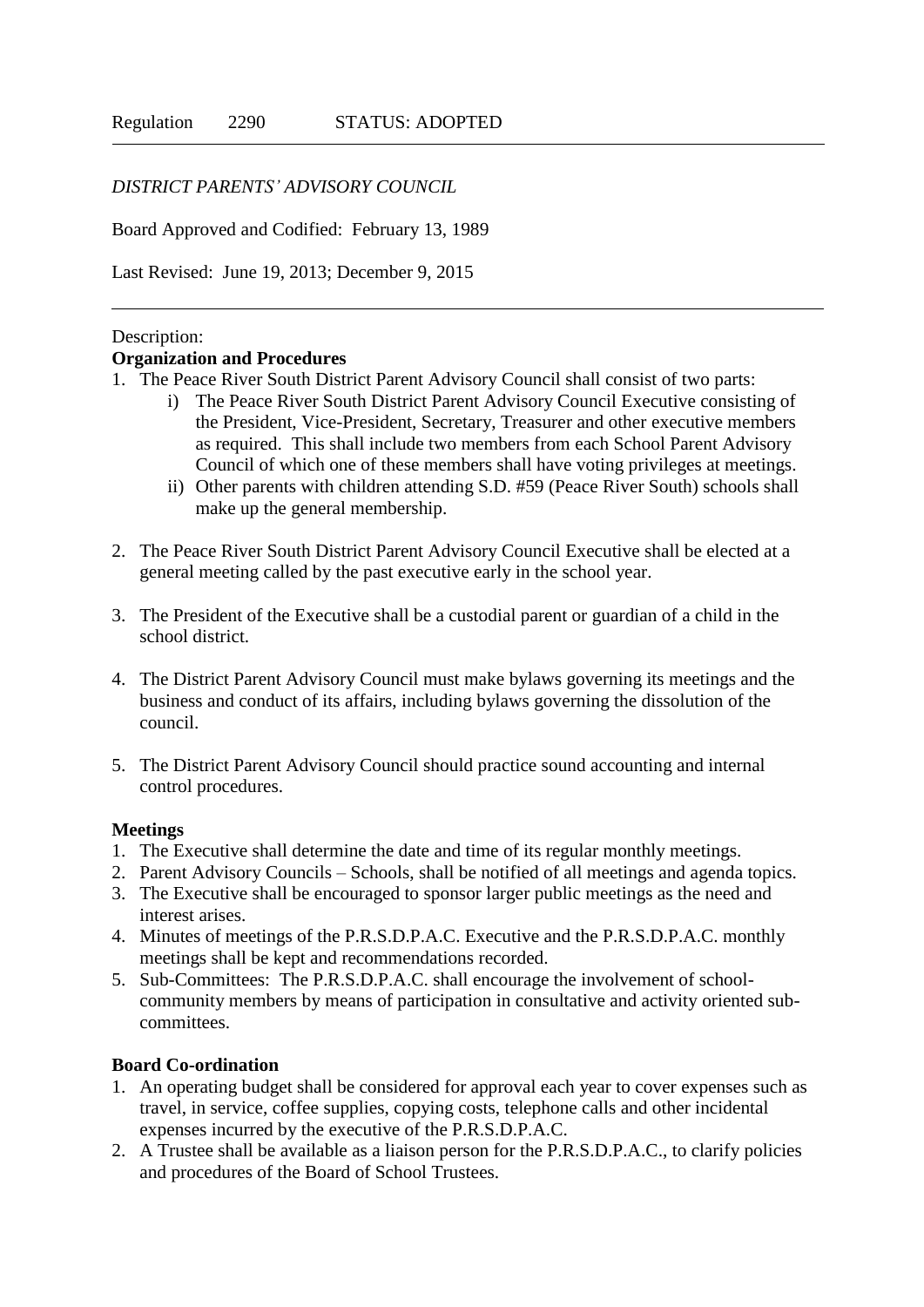# *DISTRICT PARENTS' ADVISORY COUNCIL*

Board Approved and Codified: February 13, 1989

Last Revised: June 19, 2013; December 9, 2015

## Description:

## **Organization and Procedures**

- 1. The Peace River South District Parent Advisory Council shall consist of two parts:
	- i) The Peace River South District Parent Advisory Council Executive consisting of the President, Vice-President, Secretary, Treasurer and other executive members as required. This shall include two members from each School Parent Advisory Council of which one of these members shall have voting privileges at meetings.
	- ii) Other parents with children attending S.D. #59 (Peace River South) schools shall make up the general membership.
- 2. The Peace River South District Parent Advisory Council Executive shall be elected at a general meeting called by the past executive early in the school year.
- 3. The President of the Executive shall be a custodial parent or guardian of a child in the school district.
- 4. The District Parent Advisory Council must make bylaws governing its meetings and the business and conduct of its affairs, including bylaws governing the dissolution of the council.
- 5. The District Parent Advisory Council should practice sound accounting and internal control procedures.

#### **Meetings**

- 1. The Executive shall determine the date and time of its regular monthly meetings.
- 2. Parent Advisory Councils Schools, shall be notified of all meetings and agenda topics.
- 3. The Executive shall be encouraged to sponsor larger public meetings as the need and interest arises.
- 4. Minutes of meetings of the P.R.S.D.P.A.C. Executive and the P.R.S.D.P.A.C. monthly meetings shall be kept and recommendations recorded.
- 5. Sub-Committees: The P.R.S.D.P.A.C. shall encourage the involvement of schoolcommunity members by means of participation in consultative and activity oriented subcommittees.

# **Board Co-ordination**

- 1. An operating budget shall be considered for approval each year to cover expenses such as travel, in service, coffee supplies, copying costs, telephone calls and other incidental expenses incurred by the executive of the P.R.S.D.P.A.C.
- 2. A Trustee shall be available as a liaison person for the P.R.S.D.P.A.C., to clarify policies and procedures of the Board of School Trustees.